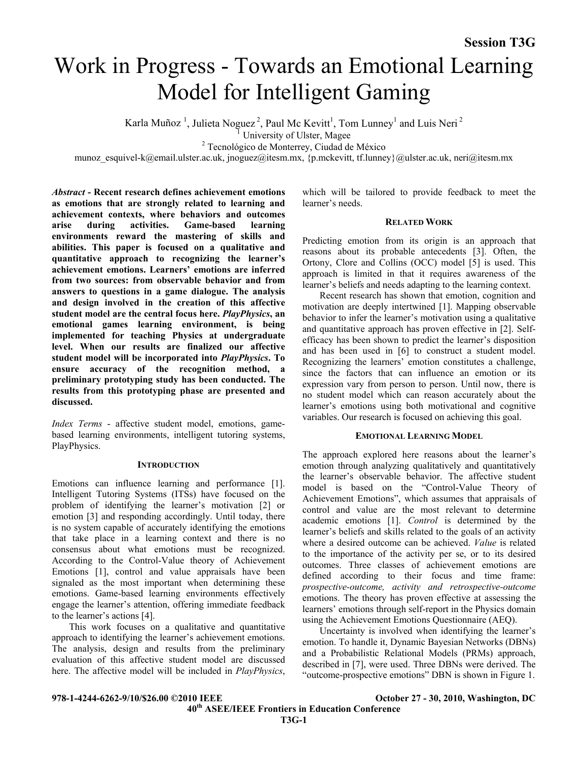# Work in Progress - Towards an Emotional Learning Model for Intelligent Gaming

Karla Muñoz<sup>1</sup>, Julieta Noguez<sup>2</sup>, Paul Mc Kevitt<sup>1</sup>, Tom Lunney<sup>1</sup> and Luis Neri<sup>2</sup>

<sup>1</sup> University of Ulster, Magee<br><sup>2</sup> Teamplesies de Monterrey, Guded de

Tecnológico de Monterrey, Ciudad de México

munoz\_esquivel-k@email.ulster.ac.uk, jnoguez@itesm.mx, {p.mckevitt, tf.lunney}@ulster.ac.uk, neri@itesm.mx

*Abstract* **- Recent research defines achievement emotions as emotions that are strongly related to learning and achievement contexts, where behaviors and outcomes arise during activities. Game-based learning environments reward the mastering of skills and abilities. This paper is focused on a qualitative and quantitative approach to recognizing the learner's achievement emotions. Learners' emotions are inferred from two sources: from observable behavior and from answers to questions in a game dialogue. The analysis and design involved in the creation of this affective student model are the central focus here.** *PlayPhysics***, an emotional games learning environment, is being implemented for teaching Physics at undergraduate level. When our results are finalized our affective student model will be incorporated into** *PlayPhysics***. To ensure accuracy of the recognition method, a preliminary prototyping study has been conducted. The results from this prototyping phase are presented and discussed.** 

*Index Terms* - affective student model, emotions, gamebased learning environments, intelligent tutoring systems, PlayPhysics.

### **INTRODUCTION**

Emotions can influence learning and performance [1]. Intelligent Tutoring Systems (ITSs) have focused on the problem of identifying the learner's motivation [2] or emotion [3] and responding accordingly. Until today, there is no system capable of accurately identifying the emotions that take place in a learning context and there is no consensus about what emotions must be recognized. According to the Control-Value theory of Achievement Emotions [1], control and value appraisals have been signaled as the most important when determining these emotions. Game-based learning environments effectively engage the learner's attention, offering immediate feedback to the learner's actions [4].

This work focuses on a qualitative and quantitative approach to identifying the learner's achievement emotions. The analysis, design and results from the preliminary evaluation of this affective student model are discussed here. The affective model will be included in *PlayPhysics*, which will be tailored to provide feedback to meet the learner's needs.

# **RELATED WORK**

Predicting emotion from its origin is an approach that reasons about its probable antecedents [3]. Often, the Ortony, Clore and Collins (OCC) model [5] is used. This approach is limited in that it requires awareness of the learner's beliefs and needs adapting to the learning context.

Recent research has shown that emotion, cognition and motivation are deeply intertwined [1]. Mapping observable behavior to infer the learner's motivation using a qualitative and quantitative approach has proven effective in [2]. Selfefficacy has been shown to predict the learner's disposition and has been used in [6] to construct a student model. Recognizing the learners' emotion constitutes a challenge, since the factors that can influence an emotion or its expression vary from person to person. Until now, there is no student model which can reason accurately about the learner's emotions using both motivational and cognitive variables. Our research is focused on achieving this goal.

## **EMOTIONAL LEARNING MODEL**

The approach explored here reasons about the learner's emotion through analyzing qualitatively and quantitatively the learner's observable behavior. The affective student model is based on the "Control-Value Theory of Achievement Emotions", which assumes that appraisals of control and value are the most relevant to determine academic emotions [1]. *Control* is determined by the learner's beliefs and skills related to the goals of an activity where a desired outcome can be achieved. *Value* is related to the importance of the activity per se, or to its desired outcomes. Three classes of achievement emotions are defined according to their focus and time frame: *prospective-outcome, activity and retrospective-outcome*  emotions. The theory has proven effective at assessing the learners' emotions through self-report in the Physics domain using the Achievement Emotions Questionnaire (AEQ).

Uncertainty is involved when identifying the learner's emotion. To handle it, Dynamic Bayesian Networks (DBNs) and a Probabilistic Relational Models (PRMs) approach, described in [7], were used. Three DBNs were derived. The "outcome-prospective emotions" DBN is shown in Figure 1.